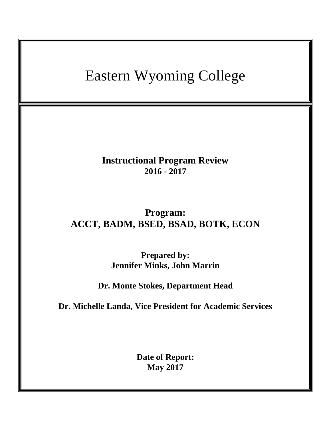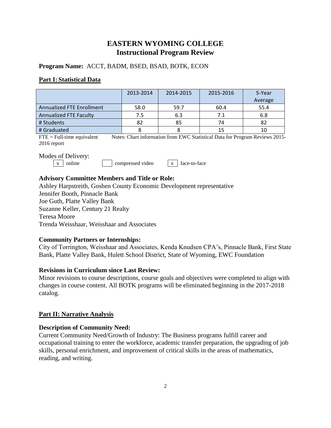# **EASTERN WYOMING COLLEGE Instructional Program Review**

**Program Name:** ACCT, BADM, BSED, BSAD, BOTK, ECON

## **Part I: Statistical Data**

|                                  | 2013-2014 | 2014-2015 | 2015-2016 | 5-Year<br>Average |
|----------------------------------|-----------|-----------|-----------|-------------------|
| <b>Annualized FTE Enrollment</b> | 58.0      | 59.7      | 60.4      | 55.4              |
| <b>Annualized FTE Faculty</b>    | 7.5       | 6.3       | 7.1       | 6.8               |
| # Students                       | 82        | 85        | 74        | 82                |
| # Graduated                      |           |           | 15        | 10                |

FTE = Full-time equivalent Notes: Chart information from EWC Statistical Data for Program Reviews 2015-2016 report

### Modes of Delivery:

 $\vert x \vert$  online  $\vert x \vert$  compressed video  $\vert x \vert$  face-to-face

## **Advisory Committee Members and Title or Role:**

Ashley Harpstreith, Goshen County Economic Development representative Jennifer Booth, Pinnacle Bank Joe Guth, Platte Valley Bank Suzanne Keller, Century 21 Realty Teresa Moore Trenda Weisshaar, Weisshaar and Associates

### **Community Partners or Internships:**

City of Torrington, Weisshaar and Associates, Kenda Knudsen CPA's, Pinnacle Bank, First State Bank, Platte Valley Bank, Hulett School District, State of Wyoming, EWC Foundation

### **Revisions in Curriculum since Last Review:**

Minor revisions to course descriptions, course goals and objectives were completed to align with changes in course content. All BOTK programs will be eliminated beginning in the 2017-2018 catalog.

# **Part II: Narrative Analysis**

### **Description of Community Need:**

Current Community Need/Growth of Industry: The Business programs fulfill career and occupational training to enter the workforce, academic transfer preparation, the upgrading of job skills, personal enrichment, and improvement of critical skills in the areas of mathematics, reading, and writing.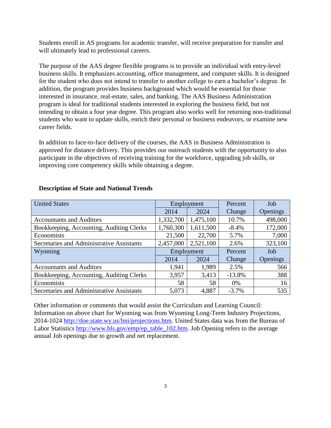Students enroll in AS programs for academic transfer, will receive preparation for transfer and will ultimately lead to professional careers.

The purpose of the AAS degree flexible programs is to provide an individual with entry-level business skills. It emphasizes accounting, office management, and computer skills. It is designed for the student who does not intend to transfer to another college to earn a bachelor's degree. In addition, the program provides business background which would be essential for those interested in insurance, real-estate, sales, and banking. The AAS Business Administration program is ideal for traditional students interested in exploring the business field, but not intending to obtain a four year degree. This program also works well for returning non-traditional students who want to update skills, enrich their personal or business endeavors, or examine new career fields.

In addition to face-to-face delivery of the courses, the AAS in Business Administration is approved for distance delivery. This provides our outreach students with the opportunity to also participate in the objectives of receiving training for the workforce, upgrading job skills, or improving core competency skills while obtaining a degree.

| <b>United States</b>                      | Employment |            | Percent  | Job      |
|-------------------------------------------|------------|------------|----------|----------|
|                                           | 2014       | 2024       | Change   | Openings |
| <b>Accountants and Auditors</b>           | 1,332,700  | 1,475,100  | 10.7%    | 498,000  |
| Bookkeeping, Accounting, Auditing Clerks  | 1,760,300  | 1,611,500  | $-8.4%$  | 172,000  |
| Economists                                | 21,500     | 22,700     | 5.7%     | 7,000    |
| Secretaries and Administrative Assistants | 2,457,000  | 2,521,100  | 2.6%     | 323,100  |
| Wyoming                                   |            | Employment | Percent  | Job      |
|                                           | 2014       | 2024       | Change   | Openings |
| <b>Accountants and Auditors</b>           | 1,941      | 1,989      | 2.5%     | 566      |
| Bookkeeping, Accounting, Auditing Clerks  | 3,957      | 3,413      | $-13.8%$ | 388      |
| Economists                                | 58         | 58         | 0%       | 16       |
| Secretaries and Administrative Assistants | 5,073      | 4,887      | $-3.7%$  | 535      |

#### **Description of State and National Trends**

Other information or comments that would assist the Curriculum and Learning Council: Information on above chart for Wyoming was from Wyoming Long-Term Industry Projections, 2014-1024 [http://doe.state.wy.us/lmi/projections.htm.](http://doe.state.wy.us/lmi/projections.htm) United States data was from the Bureau of Labor Statistics [http://www.bls.gov/emp/ep\\_table\\_102.htm.](http://www.bls.gov/emp/ep_table_102.htm) Job Opening refers to the average annual Job openings due to growth and net replacement.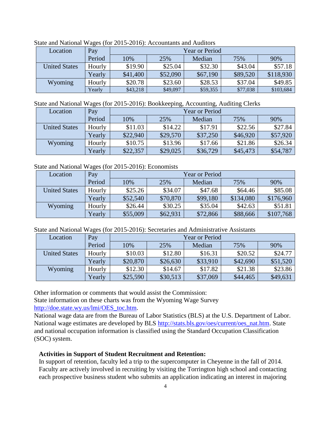| Location             | Pay    | <b>Year or Period</b> |          |          |          |           |
|----------------------|--------|-----------------------|----------|----------|----------|-----------|
|                      | Period | 10%                   | 25%      | Median   | 75%      | 90%       |
| <b>United States</b> | Hourly | \$19.90               | \$25.04  | \$32.30  | \$43.04  | \$57.18   |
|                      | Yearly | \$41,400              | \$52,090 | \$67,190 | \$89,520 | \$118,930 |
| Wyoming              | Hourly | \$20.78               | \$23.60  | \$28.53  | \$37.04  | \$49.85   |
|                      | Yearly | \$43,218              | \$49,097 | \$59,355 | \$77,038 | \$103,684 |

State and National Wages (for 2015-2016): Accountants and Auditors

State and National Wages (for 2015-2016): Bookkeeping, Accounting, Auditing Clerks

| Location             | Pay    | <b>Year or Period</b> |          |          |          |          |
|----------------------|--------|-----------------------|----------|----------|----------|----------|
|                      | Period | 10%                   | 25%      | Median   | 75%      | 90%      |
| <b>United States</b> | Hourly | \$11.03               | \$14.22  | \$17.91  | \$22.56  | \$27.84  |
|                      | Yearly | \$22,940              | \$29,570 | \$37,250 | \$46,920 | \$57,920 |
| Wyoming              | Hourly | \$10.75               | \$13.96  | \$17.66  | \$21.86  | \$26.34  |
|                      | Yearly | \$22,357              | \$29,025 | \$36,729 | \$45,473 | \$54,787 |

### State and National Wages (for 2015-2016): Economists

| Location             | Pay    | <b>Year or Period</b> |          |          |           |           |
|----------------------|--------|-----------------------|----------|----------|-----------|-----------|
|                      | Period | 10%                   | 25%      | Median   | 75%       | 90%       |
| <b>United States</b> | Hourly | \$25.26               | \$34.07  | \$47.68  | \$64.46   | \$85.08   |
|                      | Yearly | \$52,540              | \$70,870 | \$99,180 | \$134,080 | \$176,960 |
| Wyoming              | Hourly | \$26.44               | \$30.25  | \$35.04  | \$42.63   | \$51.81   |
|                      | Yearly | \$55,009              | \$62,931 | \$72,866 | \$88,666  | \$107,768 |

| State and National Wages (for 2015-2016): Secretaries and Administrative Assistants |  |  |  |  |
|-------------------------------------------------------------------------------------|--|--|--|--|
|-------------------------------------------------------------------------------------|--|--|--|--|

| Location             | Pay    | <b>Year or Period</b> |          |          |          |          |
|----------------------|--------|-----------------------|----------|----------|----------|----------|
|                      | Period | 10%                   | 25%      | Median   | 75%      | 90%      |
| <b>United States</b> | Hourly | \$10.03               | \$12.80  | \$16.31  | \$20.52  | \$24.77  |
|                      | Yearly | \$20,870              | \$26,630 | \$33,910 | \$42,690 | \$51,520 |
| Wyoming              | Hourly | \$12.30               | \$14.67  | \$17.82  | \$21.38  | \$23.86  |
|                      | Yearly | \$25,590              | \$30,513 | \$37,069 | \$44,465 | \$49,631 |

Other information or comments that would assist the Commission:

State information on these charts was from the Wyoming Wage Survey [http://doe.state.wy.us/lmi/OES\\_toc.htm.](http://doe.state.wy.us/lmi/OES_toc.htm)

National wage data are from the Bureau of Labor Statistics (BLS) at the U.S. Department of Labor. National wage estimates are developed by BLS [http://stats.bls.gov/oes/current/oes\\_nat.htm.](http://stats.bls.gov/oes/current/oes_nat.htm) State and national occupation information is classified using the Standard Occupation Classification (SOC) system.

#### **Activities in Support of Student Recruitment and Retention:**

In support of retention, faculty led a trip to the supercomputer in Cheyenne in the fall of 2014. Faculty are actively involved in recruiting by visiting the Torrington high school and contacting each prospective business student who submits an application indicating an interest in majoring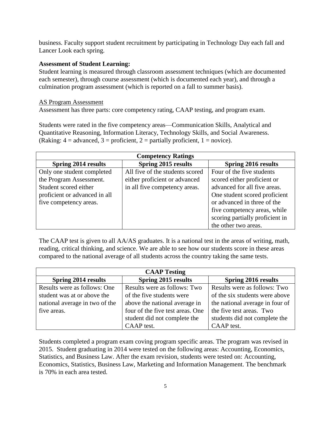business. Faculty support student recruitment by participating in Technology Day each fall and Lancer Look each spring.

### **Assessment of Student Learning:**

Student learning is measured through classroom assessment techniques (which are documented each semester), through course assessment (which is documented each year), and through a culmination program assessment (which is reported on a fall to summer basis).

### AS Program Assessment

Assessment has three parts: core competency rating, CAAP testing, and program exam.

Students were rated in the five competency areas—Communication Skills, Analytical and Quantitative Reasoning, Information Literacy, Technology Skills, and Social Awareness. (Raking:  $4 =$  advanced,  $3 =$  proficient,  $2 =$  partially proficient,  $1 =$  novice).

| <b>Competency Ratings</b>     |                                 |                                 |  |  |  |  |
|-------------------------------|---------------------------------|---------------------------------|--|--|--|--|
| <b>Spring 2014 results</b>    | <b>Spring 2015 results</b>      | <b>Spring 2016 results</b>      |  |  |  |  |
| Only one student completed    | All five of the students scored | Four of the five students       |  |  |  |  |
| the Program Assessment.       | either proficient or advanced   | scored either proficient or     |  |  |  |  |
| Student scored either         | in all five competency areas.   | advanced for all five areas.    |  |  |  |  |
| proficient or advanced in all |                                 | One student scored proficient   |  |  |  |  |
| five competency areas.        |                                 | or advanced in three of the     |  |  |  |  |
|                               |                                 | five competency areas, while    |  |  |  |  |
|                               |                                 | scoring partially proficient in |  |  |  |  |
|                               |                                 | the other two areas.            |  |  |  |  |

The CAAP test is given to all AA/AS graduates. It is a national test in the areas of writing, math, reading, critical thinking, and science. We are able to see how our students score in these areas compared to the national average of all students across the country taking the same tests.

| <b>CAAP Testing</b>            |                                  |                                 |  |  |  |  |
|--------------------------------|----------------------------------|---------------------------------|--|--|--|--|
| Spring 2014 results            | Spring 2015 results              | <b>Spring 2016 results</b>      |  |  |  |  |
| Results were as follows: One   | Results were as follows: Two     | Results were as follows: Two    |  |  |  |  |
| student was at or above the    | of the five students were        | of the six students were above  |  |  |  |  |
| national average in two of the | above the national average in    | the national average in four of |  |  |  |  |
| five areas.                    | four of the five test areas. One | the five test areas. Two        |  |  |  |  |
|                                | student did not complete the     | students did not complete the   |  |  |  |  |
|                                | CAAP test.                       | CAAP test.                      |  |  |  |  |

Students completed a program exam coving program specific areas. The program was revised in 2015. Student graduating in 2014 were tested on the following areas: Accounting, Economics, Statistics, and Business Law. After the exam revision, students were tested on: Accounting, Economics, Statistics, Business Law, Marketing and Information Management. The benchmark is 70% in each area tested.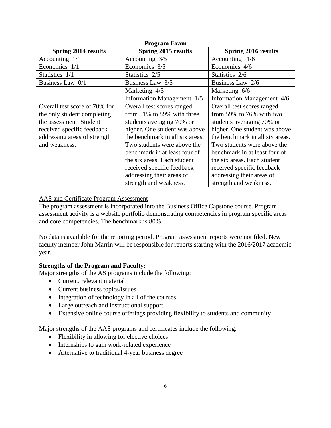| <b>Program Exam</b>           |                                 |                                 |  |  |  |
|-------------------------------|---------------------------------|---------------------------------|--|--|--|
| <b>Spring 2014 results</b>    | <b>Spring 2015 results</b>      | <b>Spring 2016 results</b>      |  |  |  |
| Accounting $1/1$              | Accounting 3/5                  | Accounting $1/6$                |  |  |  |
| Economics 1/1                 | Economics 3/5                   | Economics 4/6                   |  |  |  |
| Statistics 1/1                | Statistics 2/5                  | Statistics 2/6                  |  |  |  |
| Business Law 0/1              | Business Law 3/5                | Business Law 2/6                |  |  |  |
|                               | Marketing 4/5                   | Marketing 6/6                   |  |  |  |
|                               | Information Management 1/5      | Information Management 4/6      |  |  |  |
| Overall test score of 70% for | Overall test scores ranged      | Overall test scores ranged      |  |  |  |
| the only student completing   | from 51% to 89% with three      | from 59% to 76% with two        |  |  |  |
| the assessment. Student       | students averaging 70% or       | students averaging 70% or       |  |  |  |
| received specific feedback    | higher. One student was above   | higher. One student was above   |  |  |  |
| addressing areas of strength  | the benchmark in all six areas. | the benchmark in all six areas. |  |  |  |
| and weakness.                 | Two students were above the     | Two students were above the     |  |  |  |
|                               | benchmark in at least four of   | benchmark in at least four of   |  |  |  |
|                               | the six areas. Each student     | the six areas. Each student     |  |  |  |
|                               | received specific feedback      | received specific feedback      |  |  |  |
|                               | addressing their areas of       | addressing their areas of       |  |  |  |
|                               | strength and weakness.          | strength and weakness.          |  |  |  |

# AAS and Certificate Program Assessment

The program assessment is incorporated into the Business Office Capstone course. Program assessment activity is a website portfolio demonstrating competencies in program specific areas and core competencies. The benchmark is 80%.

No data is available for the reporting period. Program assessment reports were not filed. New faculty member John Marrin will be responsible for reports starting with the 2016/2017 academic year.

### **Strengths of the Program and Faculty:**

Major strengths of the AS programs include the following:

- Current, relevant material
- Current business topics/issues
- Integration of technology in all of the courses
- Large outreach and instructional support
- Extensive online course offerings providing flexibility to students and community

Major strengths of the AAS programs and certificates include the following:

- Flexibility in allowing for elective choices
- Internships to gain work-related experience
- Alternative to traditional 4-year business degree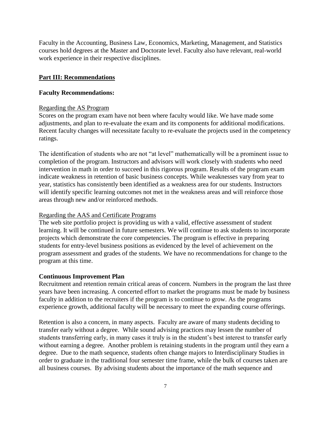Faculty in the Accounting, Business Law, Economics, Marketing, Management, and Statistics courses hold degrees at the Master and Doctorate level. Faculty also have relevant, real-world work experience in their respective disciplines.

#### **Part III: Recommendations**

#### **Faculty Recommendations:**

#### Regarding the AS Program

Scores on the program exam have not been where faculty would like. We have made some adjustments, and plan to re-evaluate the exam and its components for additional modifications. Recent faculty changes will necessitate faculty to re-evaluate the projects used in the competency ratings.

The identification of students who are not "at level" mathematically will be a prominent issue to completion of the program. Instructors and advisors will work closely with students who need intervention in math in order to succeed in this rigorous program. Results of the program exam indicate weakness in retention of basic business concepts. While weaknesses vary from year to year, statistics has consistently been identified as a weakness area for our students. Instructors will identify specific learning outcomes not met in the weakness areas and will reinforce those areas through new and/or reinforced methods.

#### Regarding the AAS and Certificate Programs

The web site portfolio project is providing us with a valid, effective assessment of student learning. It will be continued in future semesters. We will continue to ask students to incorporate projects which demonstrate the core competencies. The program is effective in preparing students for entry-level business positions as evidenced by the level of achievement on the program assessment and grades of the students. We have no recommendations for change to the program at this time.

#### **Continuous Improvement Plan**

Recruitment and retention remain critical areas of concern. Numbers in the program the last three years have been increasing. A concerted effort to market the programs must be made by business faculty in addition to the recruiters if the program is to continue to grow. As the programs experience growth, additional faculty will be necessary to meet the expanding course offerings.

Retention is also a concern, in many aspects. Faculty are aware of many students deciding to transfer early without a degree. While sound advising practices may lessen the number of students transferring early, in many cases it truly is in the student's best interest to transfer early without earning a degree. Another problem is retaining students in the program until they earn a degree. Due to the math sequence, students often change majors to Interdisciplinary Studies in order to graduate in the traditional four semester time frame, while the bulk of courses taken are all business courses. By advising students about the importance of the math sequence and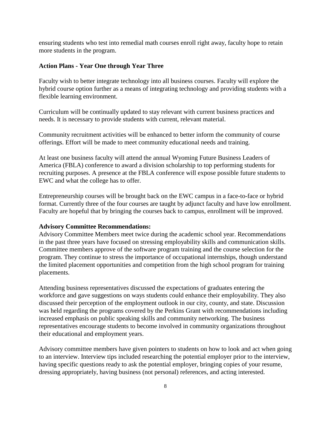ensuring students who test into remedial math courses enroll right away, faculty hope to retain more students in the program.

#### **Action Plans - Year One through Year Three**

Faculty wish to better integrate technology into all business courses. Faculty will explore the hybrid course option further as a means of integrating technology and providing students with a flexible learning environment.

Curriculum will be continually updated to stay relevant with current business practices and needs. It is necessary to provide students with current, relevant material.

Community recruitment activities will be enhanced to better inform the community of course offerings. Effort will be made to meet community educational needs and training.

At least one business faculty will attend the annual Wyoming Future Business Leaders of America (FBLA) conference to award a division scholarship to top performing students for recruiting purposes. A presence at the FBLA conference will expose possible future students to EWC and what the college has to offer.

Entrepreneurship courses will be brought back on the EWC campus in a face-to-face or hybrid format. Currently three of the four courses are taught by adjunct faculty and have low enrollment. Faculty are hopeful that by bringing the courses back to campus, enrollment will be improved.

#### **Advisory Committee Recommendations:**

Advisory Committee Members meet twice during the academic school year. Recommendations in the past three years have focused on stressing employability skills and communication skills. Committee members approve of the software program training and the course selection for the program. They continue to stress the importance of occupational internships, though understand the limited placement opportunities and competition from the high school program for training placements.

Attending business representatives discussed the expectations of graduates entering the workforce and gave suggestions on ways students could enhance their employability. They also discussed their perception of the employment outlook in our city, county, and state. Discussion was held regarding the programs covered by the Perkins Grant with recommendations including increased emphasis on public speaking skills and community networking. The business representatives encourage students to become involved in community organizations throughout their educational and employment years.

Advisory committee members have given pointers to students on how to look and act when going to an interview. Interview tips included researching the potential employer prior to the interview, having specific questions ready to ask the potential employer, bringing copies of your resume, dressing appropriately, having business (not personal) references, and acting interested.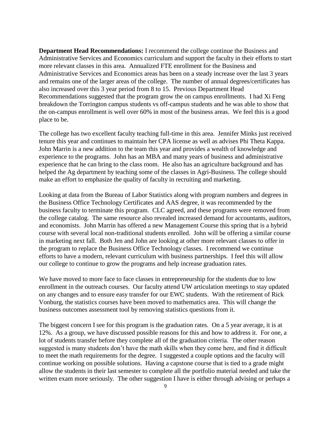**Department Head Recommendations:** I recommend the college continue the Business and Administrative Services and Economics curriculum and support the faculty in their efforts to start more relevant classes in this area. Annualized FTE enrollment for the Business and Administrative Services and Economics areas has been on a steady increase over the last 3 years and remains one of the larger areas of the college. The number of annual degrees/certificates has also increased over this 3 year period from 8 to 15. Previous Department Head Recommendations suggested that the program grow the on campus enrollments. I had Xi Feng breakdown the Torrington campus students vs off-campus students and he was able to show that the on-campus enrollment is well over 60% in most of the business areas. We feel this is a good place to be.

The college has two excellent faculty teaching full-time in this area. Jennifer Minks just received tenure this year and continues to maintain her CPA license as well as advises Phi Theta Kappa. John Marrin is a new addition to the team this year and provides a wealth of knowledge and experience to the programs. John has an MBA and many years of business and administrative experience that he can bring to the class room. He also has an agriculture background and has helped the Ag department by teaching some of the classes in Agri-Business. The college should make an effort to emphasize the quality of faculty in recruiting and marketing.

Looking at data from the Bureau of Labor Statistics along with program numbers and degrees in the Business Office Technology Certificates and AAS degree, it was recommended by the business faculty to terminate this program. CLC agreed, and these programs were removed from the college catalog. The same resource also revealed increased demand for accountants, auditors, and economists. John Marrin has offered a new Management Course this spring that is a hybrid course with several local non-traditional students enrolled. John will be offering a similar course in marketing next fall. Both Jen and John are looking at other more relevant classes to offer in the program to replace the Business Office Technology classes. I recommend we continue efforts to have a modern, relevant curriculum with business partnerships. I feel this will allow our college to continue to grow the programs and help increase graduation rates.

We have moved to more face to face classes in entrepreneurship for the students due to low enrollment in the outreach courses. Our faculty attend UW articulation meetings to stay updated on any changes and to ensure easy transfer for our EWC students. With the retirement of Rick Vonburg, the statistics courses have been moved to mathematics area. This will change the business outcomes assessment tool by removing statistics questions from it.

The biggest concern I see for this program is the graduation rates. On a 5 year average, it is at 12%. As a group, we have discussed possible reasons for this and how to address it. For one, a lot of students transfer before they complete all of the graduation criteria. The other reason suggested is many students don't have the math skills when they come here, and find it difficult to meet the math requirements for the degree. I suggested a couple options and the faculty will continue working on possible solutions. Having a capstone course that is tied to a grade might allow the students in their last semester to complete all the portfolio material needed and take the written exam more seriously. The other suggestion I have is either through advising or perhaps a